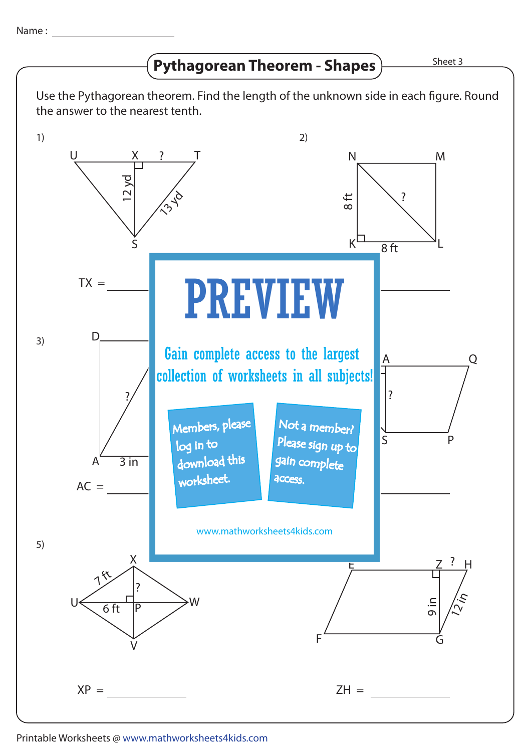## **Pythagorean Theorem - Shapes**

Sheet 3